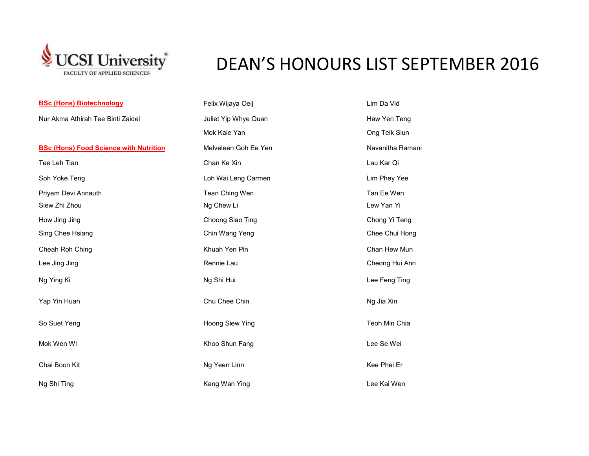

## DEAN'S HONOURS LIST SEPTEMBER 2016

| <b>BSc (Hons) Biotechnology</b>               | Felix Wijaya Oeij    | Lim Da Vid       |
|-----------------------------------------------|----------------------|------------------|
| Nur Akma Athirah Tee Binti Zaidel             | Juliet Yip Whye Quan | Haw Yen Teng     |
|                                               | Mok Kaie Yan         | Ong Teik Siun    |
| <b>BSc (Hons) Food Science with Nutrition</b> | Melveleen Goh Ee Yen | Navanitha Ramani |
| Tee Leh Tian                                  | Chan Ke Xin          | Lau Kar Qi       |
| Soh Yoke Teng                                 | Loh Wai Leng Carmen  | Lim Phey Yee     |
| Priyam Devi Annauth                           | Tean Ching Wen       | Tan Ee Wen       |
| Siew Zhi Zhou                                 | Ng Chew Li           | Lew Yan Yi       |
| How Jing Jing                                 | Choong Siao Ting     | Chong Yi Teng    |
| Sing Chee Hsiang                              | Chin Wang Yeng       | Chee Chui Hong   |
| Cheah Roh Ching                               | Khuah Yen Pin        | Chan Hew Mun     |
| Lee Jing Jing                                 | Rennie Lau           | Cheong Hui Ann   |
| Ng Ying Ki                                    | Ng Shi Hui           | Lee Feng Ting    |
| Yap Yin Huan                                  | Chu Chee Chin        | Ng Jia Xin       |
| So Suet Yeng                                  | Hoong Siew Ying      | Teoh Min Chia    |
| Mok Wen Wi                                    | Khoo Shun Fang       | Lee Se Wei       |
| Chai Boon Kit                                 | Ng Yeen Linn         | Kee Phei Er      |
| Ng Shi Ting                                   | Kang Wan Ying        | Lee Kai Wen      |